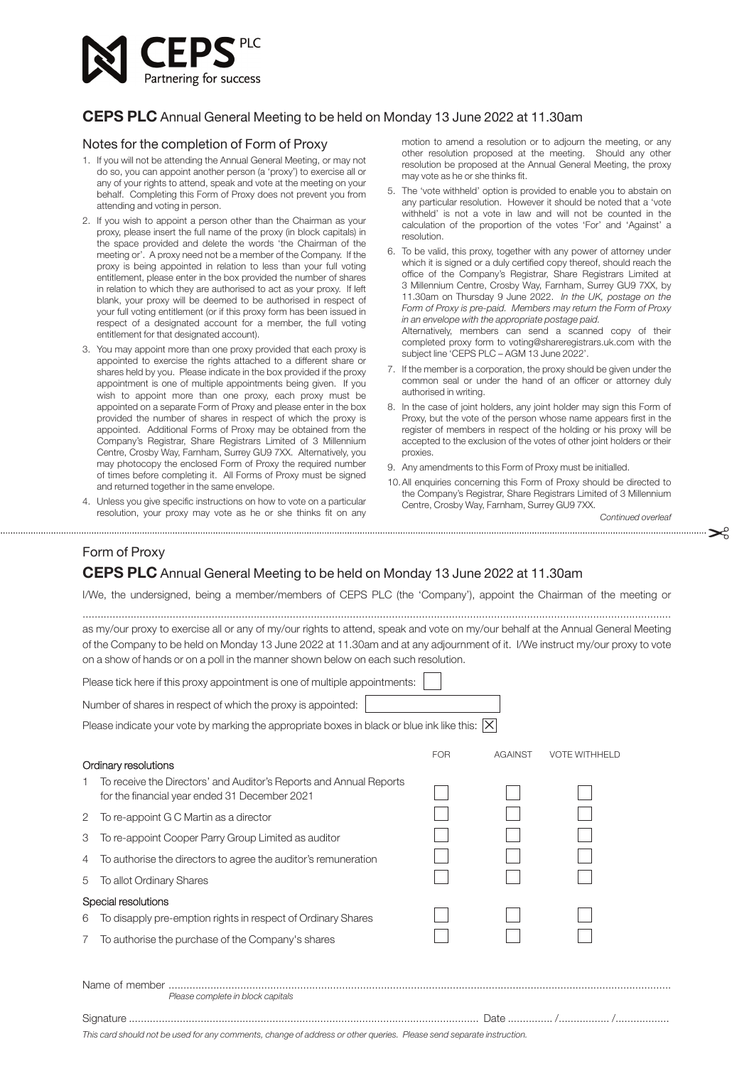

## **CEPS PLC** Annual General Meeting to be held on Monday 13 June 2022 at 11.30am

## Notes for the completion of Form of Proxy

- 1. If you will not be attending the Annual General Meeting, or may not do so, you can appoint another person (a 'proxy') to exercise all or any of your rights to attend, speak and vote at the meeting on your behalf. Completing this Form of Proxy does not prevent you from attending and voting in person.
- 2. If you wish to appoint a person other than the Chairman as your proxy, please insert the full name of the proxy (in block capitals) in the space provided and delete the words 'the Chairman of the meeting or'. A proxy need not be a member of the Company. If the proxy is being appointed in relation to less than your full voting entitlement, please enter in the box provided the number of shares in relation to which they are authorised to act as your proxy. If left blank, your proxy will be deemed to be authorised in respect of your full voting entitlement (or if this proxy form has been issued in respect of a designated account for a member, the full voting entitlement for that designated account).
- 3. You may appoint more than one proxy provided that each proxy is appointed to exercise the rights attached to a different share or shares held by you. Please indicate in the box provided if the proxy appointment is one of multiple appointments being given. If you wish to appoint more than one proxy, each proxy must be appointed on a separate Form of Proxy and please enter in the box provided the number of shares in respect of which the proxy is appointed. Additional Forms of Proxy may be obtained from the Company's Registrar, Share Registrars Limited of 3 Millennium Centre, Crosby Way, Farnham, Surrey GU9 7XX. Alternatively. vou may photocopy the enclosed Form of Proxy the required number of times before completing it. All Forms of Proxy must be signed and returned together in the same envelope.
- 4. Unless you give specific instructions on how to vote on a particular resolution, your proxy may vote as he or she thinks fit on any

motion to amend a resolution or to adjourn the meeting, or any other resolution proposed at the meeting. Should any other resolution be proposed at the Annual General Meeting, the proxy may vote as he or she thinks fit.

- 5. The 'vote withheld' option is provided to enable you to abstain on any particular resolution. However it should be noted that a 'vote withheld' is not a vote in law and will not be counted in the calculation of the proportion of the votes 'For' and 'Against' a resolution.
- 6. To be valid, this proxy, together with any power of attorney under which it is signed or a duly certified copy thereof, should reach the office of the Company's Registrar, Share Registrars Limited at 3 Millennium Centre, Crosby Way, Farnham, Surrey GU9 7XX, by 11.30am on Thursday 9 June 2022. *In the UK, postage on the Form of Proxy is pre-paid. Members may return the Form of Proxy in an envelope with the appropriate postage paid.*

Alternatively, members can send a scanned copy of their completed proxy form to voting@shareregistrars.uk.com with the subject line 'CEPS PLC – AGM 13 June 2022'.

- 7. If the member is a corporation, the proxy should be given under the common seal or under the hand of an officer or attorney duly authorised in writing.
- 8. In the case of joint holders, any joint holder may sign this Form of Proxy, but the vote of the person whose name appears first in the register of members in respect of the holding or his proxy will be accepted to the exclusion of the votes of other joint holders or their proxies.
- 9. Any amendments to this Form of Proxy must be initialled.
- 10.All enquiries concerning this Form of Proxy should be directed to the Company's Registrar, Share Registrars Limited of 3 Millennium Centre, Crosby Way, Farnham, Surrey GU9 7XX.

*Continued overleaf*

## Form of Proxy **CEPS PLC** Annual General Meeting to be held on Monday 13 June 2022 at 11.30am

I/We, the undersigned, being a member/members of CEPS PLC (the 'Company'), appoint the Chairman of the meeting or ....................................................................................................................................................................................................

"

as my/our proxy to exercise all or any of my/our rights to attend, speak and vote on my/our behalf at the Annual General Meeting of the Company to be held on Monday 13 June 2022 at 11.30am and at any adjournment of it. I/We instruct my/our proxy to vote on a show of hands or on a poll in the manner shown below on each such resolution.

| Please tick here if this proxy appointment is one of multiple appointments:                                          |                                                                                                                     |            |                |                      |
|----------------------------------------------------------------------------------------------------------------------|---------------------------------------------------------------------------------------------------------------------|------------|----------------|----------------------|
| Number of shares in respect of which the proxy is appointed:                                                         |                                                                                                                     |            |                |                      |
| Please indicate your vote by marking the appropriate boxes in black or blue ink like this: $ X $                     |                                                                                                                     |            |                |                      |
|                                                                                                                      | Ordinary resolutions                                                                                                | <b>FOR</b> | <b>AGAINST</b> | <b>VOTE WITHHELD</b> |
|                                                                                                                      | To receive the Directors' and Auditor's Reports and Annual Reports<br>for the financial year ended 31 December 2021 |            |                |                      |
| 2                                                                                                                    | To re-appoint G C Martin as a director                                                                              |            |                |                      |
| 3                                                                                                                    | To re-appoint Cooper Parry Group Limited as auditor                                                                 |            |                |                      |
| 4                                                                                                                    | To authorise the directors to agree the auditor's remuneration                                                      |            |                |                      |
| 5                                                                                                                    | To allot Ordinary Shares                                                                                            |            |                |                      |
| Special resolutions                                                                                                  |                                                                                                                     |            |                |                      |
| 6                                                                                                                    | To disapply pre-emption rights in respect of Ordinary Shares                                                        |            |                |                      |
| 7                                                                                                                    | To authorise the purchase of the Company's shares                                                                   |            |                |                      |
| Please complete in block capitals                                                                                    |                                                                                                                     |            |                |                      |
| Signature                                                                                                            |                                                                                                                     |            |                |                      |
| This card should not be used for any comments, change of address or other queries. Please send separate instruction. |                                                                                                                     |            |                |                      |